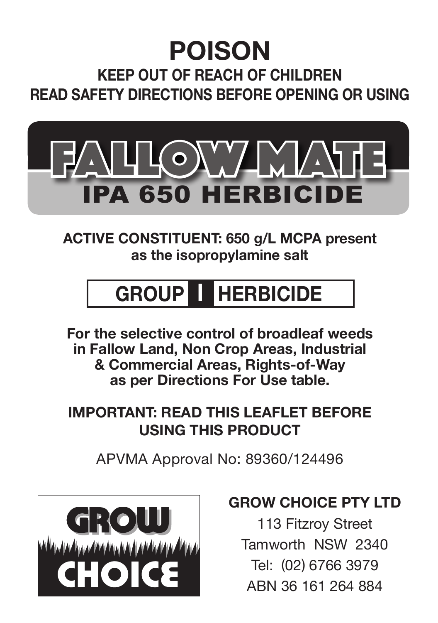# **POISON Keep out of reach of children Read safety directions before opening or using**



**ACTIVE CONSTITUENT: 650 g/L MCPA present as the isopropylamine salt** 

# **GROUP I HERBICIDE**

**For the selective control of broadleaf weeds in Fallow Land, Non Crop Areas, Industrial & Commercial Areas, Rights-of-Way as per Directions For Use table.**

## **IMPORTANT: READ THIS LEAFLET BEFORE USING THIS PRODUCT**

APVMA Approval No: 89360/124496



## **GROW CHOICE PTY LTD**

113 Fitzroy Street Tamworth NSW 2340 Tel: (02) 6766 3979 ABN 36 161 264 884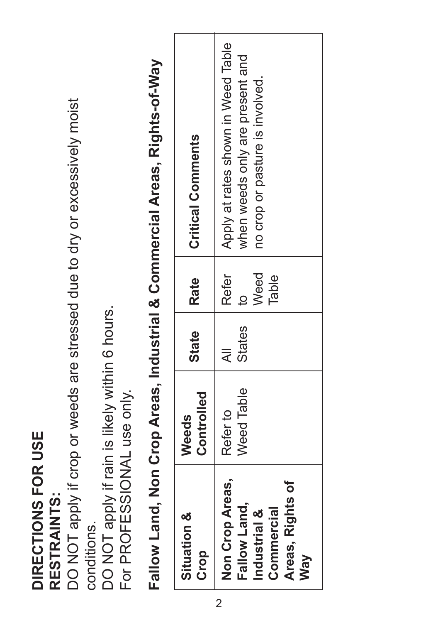| C             |   |
|---------------|---|
| $\frac{a}{2}$ | ŗ |
|               |   |

DO NOT apply if crop or weeds are stressed due to dry or excessively moist DO NOT apply if crop or weeds are stressed due to dry or excessively moist conditions. conditions.

DO NOT apply if rain is likely within 6 hours.<br>For PROFESSIONAL use only. DO NOT apply if rain is likely within 6 hours. For PROFESSIONAL use only. Fallow Land, Non Crop Areas, Industrial & Commercial Areas, Rights-of-Way **Fallow Land, Non Crop Areas, Industrial & Commercial Areas, Rights-of-Way**

| Situation &<br>Crop | Controlled<br>Weeds | <b>State</b>  | Rate  | <b>Critical Comments</b>           |
|---------------------|---------------------|---------------|-------|------------------------------------|
| Non Crop Areas,     | Refer to            | ₹             | Refer | Apply at rates shown in Weed Table |
| Fallow Land,        | Need Table          | <b>States</b> |       | when weeds only are present and    |
| Industrial &        |                     |               | Weed  | no crop or pasture is involved.    |
| Commercial          |                     |               | Table |                                    |
| Areas, Rights of    |                     |               |       |                                    |
| Vay                 |                     |               |       |                                    |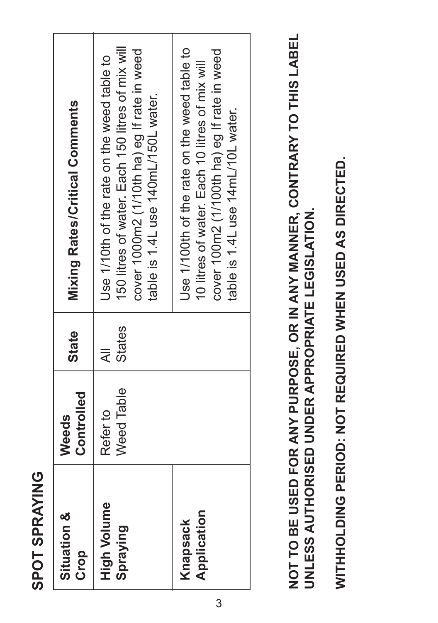| Ć |
|---|
|   |
|   |
|   |
|   |

| <b>Situation &amp;</b><br>Crop | Controlled<br>Weeds    | <b>State</b>  | Mixing Rates/Critical Comments                                                                                                                                                        |
|--------------------------------|------------------------|---------------|---------------------------------------------------------------------------------------------------------------------------------------------------------------------------------------|
| High Volume<br>Spraying        | Weed Table<br>Refer to | <b>States</b> | 150 litres of water. Each 150 litres of mix will<br>cover 1000m2 (1/10th ha) eg If rate in weed<br>Jse 1/10th of the rate on the weed table to<br>table is 1.4L use 140mL/150L water. |
| Application<br>Knapsack        |                        |               | Use 1/100th of the rate on the weed table to<br>cover 100m2 (1/100th ha) eg If rate in weed<br>10 litres of water. Each 10 litres of mix will<br>table is 1.4L use 14mL/10L water.    |

**NOT TO BE USED FOR ANY PURPOSE, OR IN ANY MANNER, CONTRARY TO THIS LABEL**  NOT TO BE USED FOR ANY PURPOSE, OR IN ANY MANNER, CONTRARY TO THIS LABEL UNLESS AUTHORISED UNDER APPROPRIATE LEGISLATION. **UNLESS AUTHORISED UNDER APPROPRIATE LEGISLATION.**

WITHNOLDING PERIOD: NOT REQUIRED WHEN USED AS DIRECTED. **WITHHOLDING PERIOD: NOT REQUIRED WHEN USED AS DIRECTED.**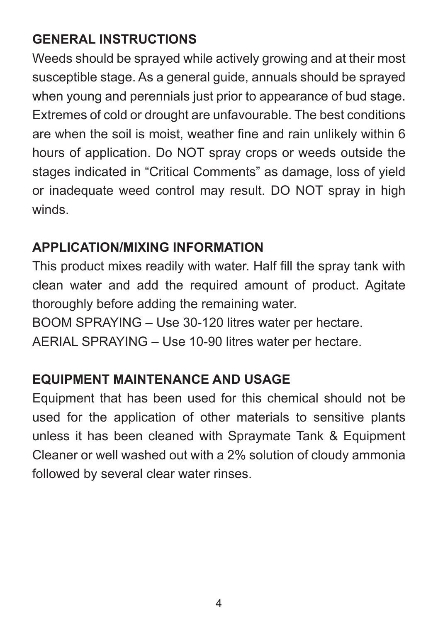## **GENERAL INSTRUCTIONS**

Weeds should be sprayed while actively growing and at their most susceptible stage. As a general guide, annuals should be sprayed when young and perennials just prior to appearance of bud stage. Extremes of cold or drought are unfavourable. The best conditions are when the soil is moist, weather fine and rain unlikely within 6 hours of application. Do NOT spray crops or weeds outside the stages indicated in "Critical Comments" as damage, loss of yield or inadequate weed control may result. DO NOT spray in high winds.

#### **APPLICATION/MIXING INFORMATION**

This product mixes readily with water. Half fill the spray tank with clean water and add the required amount of product. Agitate thoroughly before adding the remaining water.

BOOM SPRAYING – Use 30-120 litres water per hectare.

AERIAL SPRAYING – Use 10-90 litres water per hectare.

## **EQUIPMENT MAINTENANCE AND USAGE**

Equipment that has been used for this chemical should not be used for the application of other materials to sensitive plants unless it has been cleaned with Spraymate Tank & Equipment Cleaner or well washed out with a 2% solution of cloudy ammonia followed by several clear water rinses.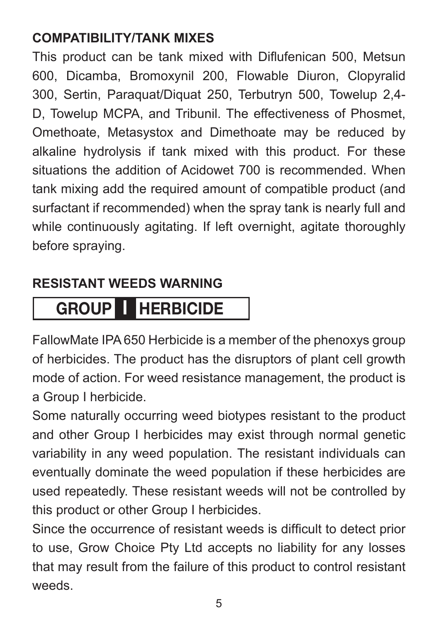## **COMPATIBILITY/TANK MIXES**

This product can be tank mixed with Diflufenican 500, Metsun 600, Dicamba, Bromoxynil 200, Flowable Diuron, Clopyralid 300, Sertin, Paraquat/Diquat 250, Terbutryn 500, Towelup 2,4- D, Towelup MCPA, and Tribunil. The effectiveness of Phosmet, Omethoate, Metasystox and Dimethoate may be reduced by alkaline hydrolysis if tank mixed with this product. For these situations the addition of Acidowet 700 is recommended. When tank mixing add the required amount of compatible product (and surfactant if recommended) when the spray tank is nearly full and while continuously agitating. If left overnight, agitate thoroughly before spraying.

#### **RESISTANT WEEDS WARNING**

## **GROUP I HERBICIDE**

FallowMate IPA 650 Herbicide is a member of the phenoxys group of herbicides. The product has the disruptors of plant cell growth mode of action. For weed resistance management, the product is a Group I herbicide.

Some naturally occurring weed biotypes resistant to the product and other Group I herbicides may exist through normal genetic variability in any weed population. The resistant individuals can eventually dominate the weed population if these herbicides are used repeatedly. These resistant weeds will not be controlled by this product or other Group I herbicides.

Since the occurrence of resistant weeds is difficult to detect prior to use, Grow Choice Pty Ltd accepts no liability for any losses that may result from the failure of this product to control resistant weeds.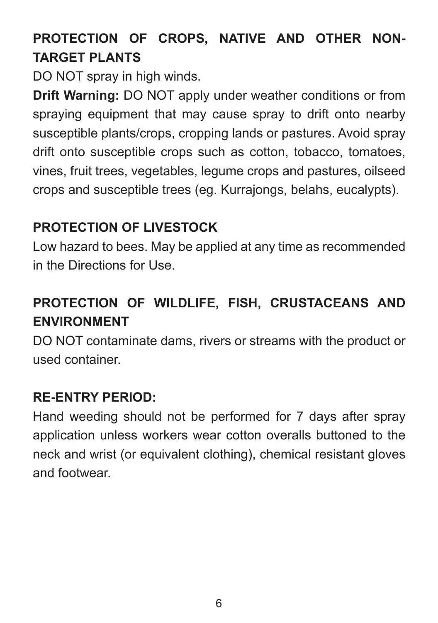## **PROTECTION OF CROPS, NATIVE AND OTHER NON-TARGET PLANTS**

DO NOT spray in high winds.

**Drift Warning:** DO NOT apply under weather conditions or from spraying equipment that may cause spray to drift onto nearby susceptible plants/crops, cropping lands or pastures. Avoid spray drift onto susceptible crops such as cotton, tobacco, tomatoes, vines, fruit trees, vegetables, legume crops and pastures, oilseed crops and susceptible trees (eg. Kurrajongs, belahs, eucalypts).

## **PROTECTION OF LIVESTOCK**

Low hazard to bees. May be applied at any time as recommended in the Directions for Use.

## **PROTECTION OF WILDLIFE, FISH, CRUSTACEANS AND ENVIRONMENT**

DO NOT contaminate dams, rivers or streams with the product or used container.

#### **RE-ENTRY PERIOD:**

Hand weeding should not be performed for 7 days after spray application unless workers wear cotton overalls buttoned to the neck and wrist (or equivalent clothing), chemical resistant gloves and footwear.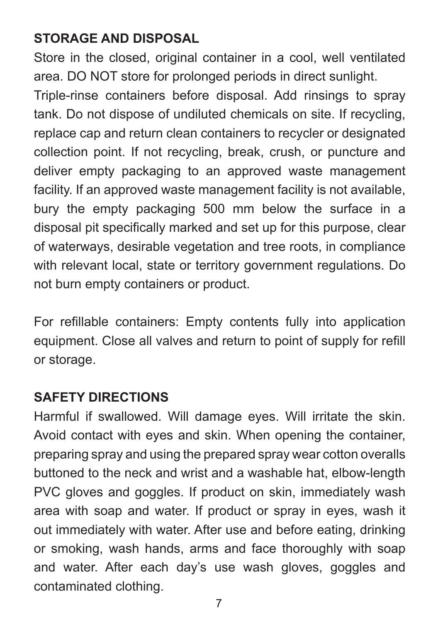## **STORAGE AND DISPOSAL**

Store in the closed, original container in a cool, well ventilated area. DO NOT store for prolonged periods in direct sunlight.

Triple-rinse containers before disposal. Add rinsings to spray tank. Do not dispose of undiluted chemicals on site. If recycling, replace cap and return clean containers to recycler or designated collection point. If not recycling, break, crush, or puncture and deliver empty packaging to an approved waste management facility. If an approved waste management facility is not available, bury the empty packaging 500 mm below the surface in a disposal pit specifically marked and set up for this purpose, clear of waterways, desirable vegetation and tree roots, in compliance with relevant local, state or territory government regulations. Do not burn empty containers or product.

For refillable containers: Empty contents fully into application equipment. Close all valves and return to point of supply for refill or storage.

#### **SAFETY DIRECTIONS**

Harmful if swallowed. Will damage eyes. Will irritate the skin. Avoid contact with eyes and skin. When opening the container, preparing spray and using the prepared spray wear cotton overalls buttoned to the neck and wrist and a washable hat, elbow-length PVC gloves and goggles. If product on skin, immediately wash area with soap and water. If product or spray in eyes, wash it out immediately with water. After use and before eating, drinking or smoking, wash hands, arms and face thoroughly with soap and water. After each day's use wash gloves, goggles and contaminated clothing.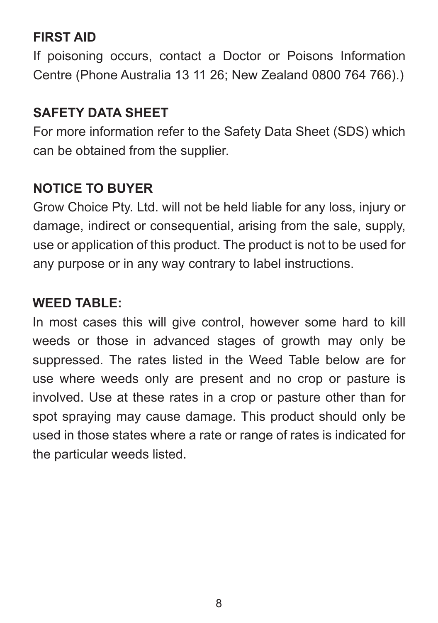#### **FIRST AID**

If poisoning occurs, contact a Doctor or Poisons Information Centre (Phone Australia 13 11 26; New Zealand 0800 764 766).)

#### **SAFETY DATA SHEET**

For more information refer to the Safety Data Sheet (SDS) which can be obtained from the supplier.

## **NOTICE TO BUYER**

Grow Choice Pty. Ltd. will not be held liable for any loss, injury or damage, indirect or consequential, arising from the sale, supply, use or application of this product. The product is not to be used for any purpose or in any way contrary to label instructions.

#### **WEED TABLE:**

In most cases this will give control, however some hard to kill weeds or those in advanced stages of growth may only be suppressed. The rates listed in the Weed Table below are for use where weeds only are present and no crop or pasture is involved. Use at these rates in a crop or pasture other than for spot spraying may cause damage. This product should only be used in those states where a rate or range of rates is indicated for the particular weeds listed.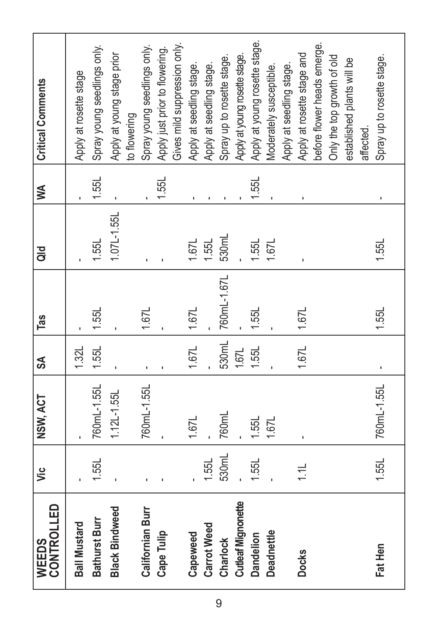| CONTROLLED<br>WEEDS       | ۶Ë            | NSW, ACT      | వ్    | Tas               | ă                  | ≸     | <b>Critical Comments</b>       |
|---------------------------|---------------|---------------|-------|-------------------|--------------------|-------|--------------------------------|
| <b>Ball Mustard</b>       |               |               | 1.32L |                   |                    |       | Apply at rosette stage         |
| Bathurst Burr             | 1.55L         | 760mL-1.55L   | 1.55L | 1.55L             | 1.55L              | 1.55L | Spray young seedlings only.    |
| <b>Black Bindweed</b>     |               | $1.12L-1.55L$ |       |                   | $1.07L - 1.55L$    |       | Apply at young stage prior     |
|                           |               |               |       |                   |                    |       | to flowering                   |
| Californian Burr          |               | 760mL-1.55L   |       | 1.67L             |                    |       | Spray young seedlings only.    |
| Cape Tulip                |               |               |       |                   |                    | 1.55L | Apply just prior to flowering. |
|                           |               |               |       |                   |                    |       | Gives mild suppression only.   |
| Capeweed                  |               | 1.67L         | 1.67L | 1.67L             | 1.67L              |       | Apply at seedling stage.       |
| Carrot Weed               | 1.55L         |               |       |                   | 1.55L              |       | Apply at seedling stage.       |
| Charlock                  | 530mL         | 760mL         |       | 530mL 760mL-1.67L | 530 <sub>m</sub> L |       | Spray up to rosette stage.     |
| <b>Cutleaf Mignonette</b> |               |               | 1.67L |                   |                    |       | Apply at young rosette stage.  |
| Dandelion                 | 1.55L         | 1.55L         | 1.55L | 1.55L             | 1.55L              | 1.55L | Apply at young rosette stage.  |
| Deadnettle                |               | 1.67L         |       |                   | 1.67 <sub>L</sub>  |       | Moderately susceptible.        |
|                           |               |               |       |                   |                    |       | Apply at seedling stage.       |
| <b>Docks</b>              | $\frac{1}{2}$ |               | 1.67L | 1.67L             |                    |       | Apply at rosette stage and     |
|                           |               |               |       |                   |                    |       | before flower heads emerge.    |
|                           |               |               |       |                   |                    |       | Only the top growth of old     |
|                           |               |               |       |                   |                    |       | established plants will be     |
|                           |               |               |       |                   |                    |       | affected.                      |
| Fat Hen                   | 1.55L         | 760mL-1.55L   |       | 1.55L             | 1.55L              |       | Spray up to rosette stage.     |
|                           |               |               |       |                   |                    |       |                                |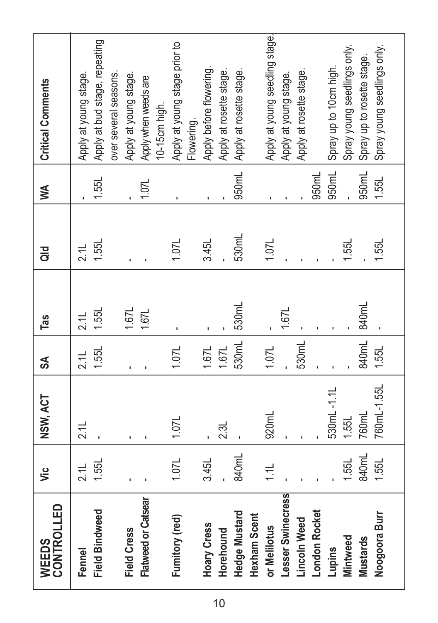| CONTROLLED<br>WEEDS   | ۶Ë                | NSW, ACT    | S                 | Tas           | ă                 | ≸                  | <b>Critical Comments</b>       |
|-----------------------|-------------------|-------------|-------------------|---------------|-------------------|--------------------|--------------------------------|
| Fennel                | 21                | 2.1         | 21                | $\frac{1}{2}$ | 21                |                    | Apply at young stage.          |
| <b>Field Bindweed</b> | 1.55L             |             | 1.55L             | 1.55L         | 1.55L             | 1.55L              | Apply at bud stage, repeating  |
|                       |                   |             |                   |               |                   |                    | over several seasons.          |
| <b>Field Cress</b>    |                   |             |                   | 1.67L         |                   |                    | Apply at young stage.          |
| Flatweed or Catsear   |                   |             |                   | 1.67L         |                   | 1.07L              | Apply when weeds are           |
|                       |                   |             |                   |               |                   |                    | 10-15cm high.                  |
| Fumitory (red)        | 1.07 <sub>L</sub> | 1.07L       | 1.07 <sub>L</sub> |               | 1.07 <sub>L</sub> |                    | Apply at young stage prior to  |
|                       |                   |             |                   |               |                   |                    | Flowering.                     |
| <b>Hoary Cress</b>    | 3.45L             |             | 1.67L             |               | 3.45L             |                    | Apply before flowering.        |
| Horehound             |                   | 2.3L        | 1.67L             |               |                   |                    | Apply at rosette stage.        |
| Hedge Mustard         | 840mL             |             | 530mL             | 530mL         | 530mL             | 950mL              | Apply at rosette stage.        |
| Hexham Scent          |                   |             |                   |               |                   |                    |                                |
| or Melilotus          | $\overline{11}$   | 920mL       | 1.07L             |               | 1.07L             |                    | Apply at young seedling stage. |
| Lesser Swinecress     |                   |             |                   | 1.67L         |                   |                    | Apply at young stage.          |
| Lincoln Weed          |                   |             | 530mL             |               |                   |                    | Apply at rosette stage.        |
| London Rocket         |                   |             |                   |               |                   | 950mL              |                                |
| Lupins                |                   | 530mL-1.1L  |                   |               |                   | 950 <sub>m</sub> L | Spray up to 10cm high.         |
| Mintweed              | 1.55L             | 1.55L       |                   |               | 1.55L             |                    | Spray young seedlings only.    |
| <b>Mustards</b>       | 840mL             | 760mL       | 840 <sub>mL</sub> | 840mL         |                   | 950mL              | Spray up to rosette stage.     |
| Noogoora Burr         | 1.55L             | 760mL-1.55L | 1.55L             |               | 1.55L             | 1.55L              | Spray young seedlings only.    |
|                       |                   |             |                   |               |                   |                    |                                |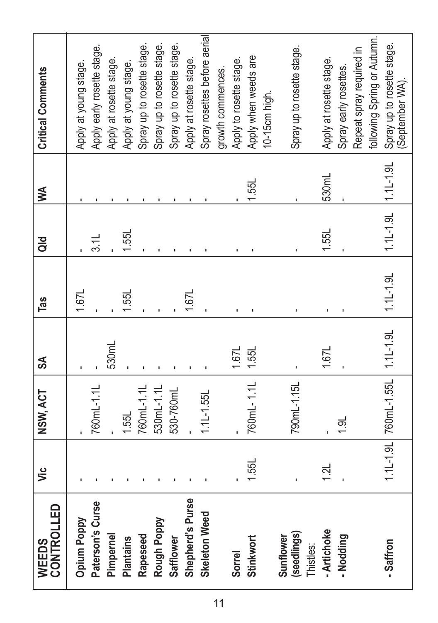| CONTROLLED<br>WEEDS      | ۶Ë    | NSW, ACT                          | వ్    | Tas           | ă                       | ≸     | Critical Comments                            |
|--------------------------|-------|-----------------------------------|-------|---------------|-------------------------|-------|----------------------------------------------|
| <b>Opium Poppy</b>       |       |                                   |       | 1.67L         |                         |       | Apply at young stage.                        |
| Paterson's Curse         |       | 760mL-1.1L                        |       |               | $\frac{1}{3}$           |       | Apply early rosette stage.                   |
| Pimpernel                |       |                                   | 530mL |               |                         |       | Apply at rosette stage.                      |
| Plantains                |       | 1.55L                             |       | 1.55L         | 1.55L                   |       | Apply at young stage.                        |
| Rapeseed                 |       | 760mL-1.1L                        |       |               |                         |       | Spray up to rosette stage.                   |
| Rough Poppy              |       | 530mL-1.1L                        |       |               |                         |       | Spray up to rosette stage.                   |
| Safflower                |       | 530-760mL                         |       |               |                         |       | Spray up to rosette stage.                   |
| Shepherd's Purse         |       |                                   |       | 1.67L         |                         |       | Apply at rosette stage.                      |
| Skeleton Weed            |       | $1.1L - 1.55L$                    |       |               |                         |       | Spray rosettes before aerial                 |
|                          |       |                                   |       |               |                         |       | growth commences.                            |
| Sorrel                   |       |                                   | 1.67L |               |                         |       | Apply to rosette stage.                      |
| Stinkwort                | 1.55L | 760mL-1.1L                        | 1.55L |               |                         | 1.55L | Apply when weeds are                         |
|                          |       |                                   |       |               |                         |       | 10-15cm high.                                |
| Sunflower                |       |                                   |       |               |                         |       |                                              |
| (seedlings)<br>Thistles: |       | 790mL-1.15L                       |       |               |                         |       | Spray up to rosette stage.                   |
| - Artichoke              | 1.21  |                                   | 1.67L |               | 1.55L                   | 530mL | Apply at rosette stage.                      |
| - Nodding                |       | 1.9L                              |       |               |                         |       | Spray early rosettes.                        |
|                          |       |                                   |       |               |                         |       | Repeat spray required in                     |
|                          |       |                                   |       |               |                         |       | following Spring or Autumn.                  |
| - Saffron                |       | 1.1L-1.9L 760mL-1.55L   1.1L-1.9L |       | $1.1L - 1.9L$ | $1.1 - 1.9$ $1.1 - 1.9$ |       | Spray up to rosette stage.<br>September WA). |